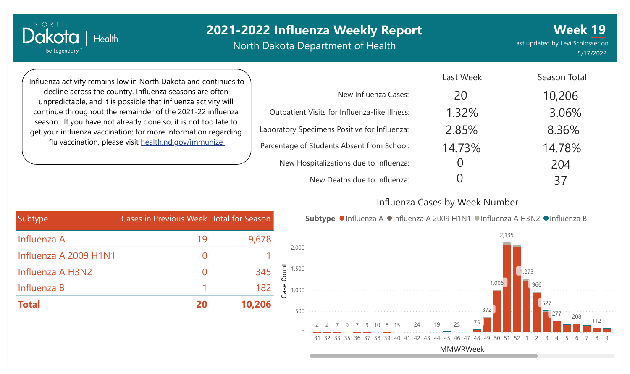# **2021-2022 Influenza Weekly Report**

North Dakota Department of Health

Last updated by Levi Schlosser on 5/17/2022 **Week 19**

Season Total

Influenza activity remains low in North Dakota and continues to decline across the country. Influenza seasons are often unpredictable, and it is possible that influenza activity will continue throughout the remainder of the 2021-22 influenza season. If you have not already done so, it is not too late to get your influenza vaccination; for more information regarding flu vaccination, please visit [health.nd.gov/immunize](http://health.nd.gov/immunize)

**Health** 

NORTH

Dakota

Be Legendary.

|                                               | LdSL VVEEK | SEASON TOLAI |
|-----------------------------------------------|------------|--------------|
| New Influenza Cases:                          | 20         | 10,206       |
| Outpatient Visits for Influenza-like Illness: | 1.32%      | 3.06%        |
| Laboratory Specimens Positive for Influenza:  | 2.85%      | 8.36%        |
| Percentage of Students Absent from School:    | 14.73%     | 14.78%       |
| New Hospitalizations due to Influenza:        |            | 204          |
| New Deaths due to Influenza:                  |            | 37           |

#### Influenza Cases by Week Number

Last Week



| Subtype               | Cases in Previous Week Total for Season |        |
|-----------------------|-----------------------------------------|--------|
| Influenza A           | 19                                      | 9,678  |
| Influenza A 2009 H1N1 |                                         |        |
| Influenza A H3N2      |                                         | 345    |
| Influenza B           |                                         | 182    |
| <b>Total</b>          | 20                                      | 10,206 |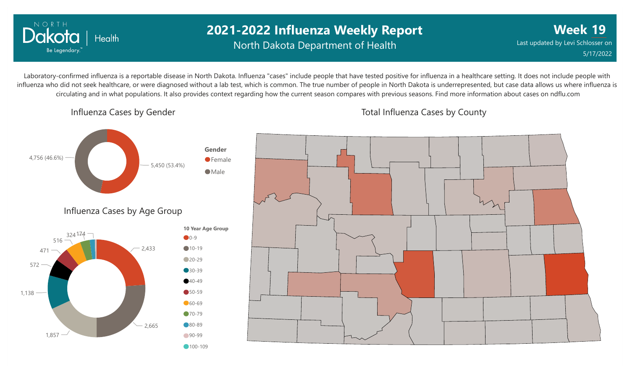

## **2021-2022 Influenza Weekly Report** North Dakota Department of Health

**Week 19** Last updated by Levi Schlosser on 5/17/2022

Laboratory-confirmed influenza is a reportable disease in North Dakota. Influenza "cases" include people that have tested positive for influenza in a healthcare setting. It does not include people with influenza who did not seek healthcare, or were diagnosed without a lab test, which is common. The true number of people in North Dakota is underrepresented, but case data allows us where influenza is circulating and in what populations. It also provides context regarding how the current season compares with previous seasons. Find more information about cases on ndflu.com

Influenza Cases by Gender



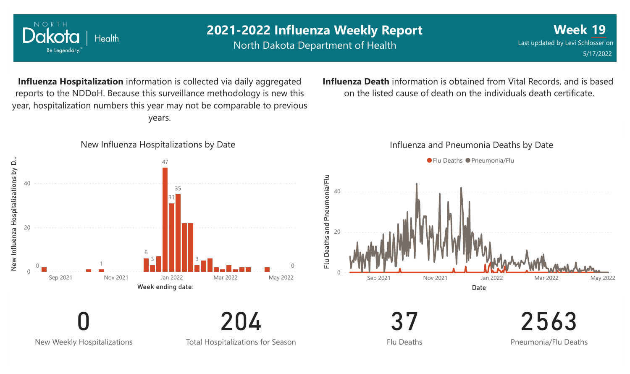

New Weekly Hospitalizations

Total Hospitalizations for Season

Flu Deaths

Pneumonia/Flu Deaths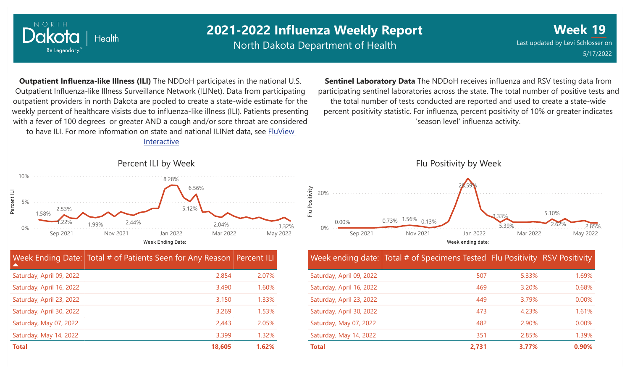

Percent ILI

## **2021-2022 Influenza Weekly Report**

North Dakota Department of Health

**Week 19** Last updated by Levi Schlosser on 5/17/2022

**Outpatient Influenza-like Illness (ILI)** The NDDoH participates in the national U.S. Outpatient Influenza-like Illness Surveillance Network (ILINet). Data from participating outpatient providers in north Dakota are pooled to create a state-wide estimate for the weekly percent of healthcare visists due to influenza-like illness (ILI). Patients presenting with a fever of 100 degrees or greater AND a cough and/or sore throat are considered to have ILI. For more information [on state and national ILINet data, see FluView](http://fluview%20interactive/) Interactive

**Sentinel Laboratory Data** The NDDoH receives influenza and RSV testing data from participating sentinel laboratories across the state. The total number of positive tests and the total number of tests conducted are reported and used to create a state-wide percent positivity statistic. For influenza, percent positivity of 10% or greater indicates 'season level' influenza activity.



| Week Ending Date: Total # of Patients Seen for Any Reason Percent ILI |        |       |
|-----------------------------------------------------------------------|--------|-------|
| Saturday, April 09, 2022                                              | 2,854  | 2.07% |
| Saturday, April 16, 2022                                              | 3,490  | 1.60% |
| Saturday, April 23, 2022                                              | 3,150  | 1.33% |
| Saturday, April 30, 2022                                              | 3,269  | 1.53% |
| Saturday, May 07, 2022                                                | 2,443  | 2.05% |
| Saturday, May 14, 2022                                                | 3,399  | 1.32% |
| <b>Total</b>                                                          | 18,605 | 1.62% |



Week ending date: Total # of Specimens Tested Flu Positivity RSV Positivity

| <b>Total</b>             | 2,731 | 3.77% | 0.90%    |
|--------------------------|-------|-------|----------|
| Saturday, May 14, 2022   | 351   | 2.85% | 1.39%    |
| Saturday, May 07, 2022   | 482   | 2.90% | $0.00\%$ |
| Saturday, April 30, 2022 | 473   | 4.23% | 1.61%    |
| Saturday, April 23, 2022 | 449   | 3.79% | $0.00\%$ |
| Saturday, April 16, 2022 | 469   | 3.20% | 0.68%    |
| Saturday, April 09, 2022 | 507   | 5.33% | 1.69%    |
|                          |       |       |          |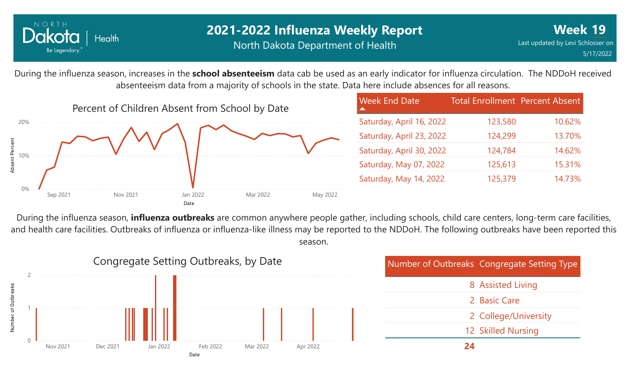

### **2021-2022 Influenza Weekly Report** North Dakota Department of Health

During the influenza season, increases in the **school absenteeism** data cab be used as an early indicator for influenza circulation. The NDDoH received absenteeism data from a majority of schools in the state. Data here include absences for all reasons.



During the influenza season, **influenza outbreaks** are common anywhere people gather, including schools, child care centers, long-term care facilities, and health care facilities. Outbreaks of influenza or influenza-like illness may be reported to the NDDoH. The following outbreaks have been reported this season.

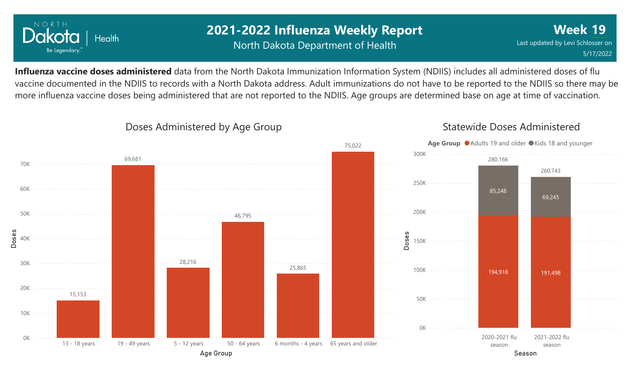

## **2021-2022 Influenza Weekly Report** North Dakota Department of Health

**Week 19** Last updated by Levi Schlosser on 5/17/2022

**Influenza vaccine doses administered** data from the North Dakota Immunization Information System (NDIIS) includes all administered doses of flu vaccine documented in the NDIIS to records with a North Dakota address. Adult immunizations do not have to be reported to the NDIIS so there may be more influenza vaccine doses being administered that are not reported to the NDIIS. Age groups are determined base on age at time of vaccination.



#### Doses Administered by Age Group

#### Statewide Doses Administered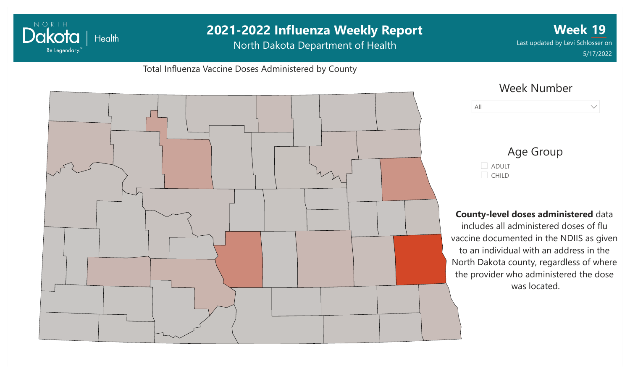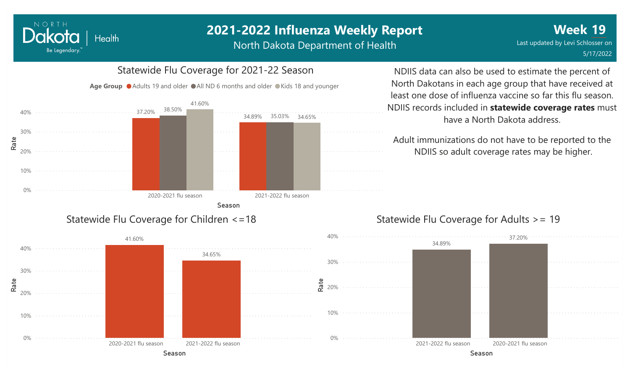# **2021-2022 Influenza Weekly Report**

North Dakota Department of Health



34.65%

# Statewide Flu Coverage for 2021-22 Season

North Dakotans in each age group that have received at least one dose of influenza vaccine so far this flu season. NDIIS records included in **statewide coverage rates** must

> Adult immunizations do not have to be reported to the NDIIS so adult coverage rates may be higher.

have a North Dakota address.

NDIIS data can also be used to estimate the percent of



#### Statewide Flu Coverage for Adults >= 19

Season 2020-2021 flu season 2021-2022 flu season

41.60%

0%

10%

20%

Rate

30%

40%

NORTH

Dakota

Be Legendary.

Health

Season